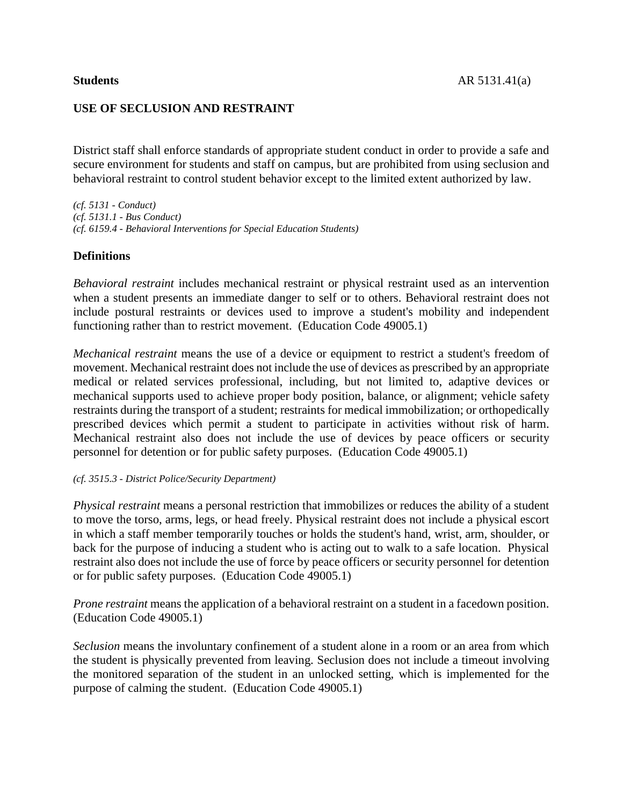# **USE OF SECLUSION AND RESTRAINT**

District staff shall enforce standards of appropriate student conduct in order to provide a safe and secure environment for students and staff on campus, but are prohibited from using seclusion and behavioral restraint to control student behavior except to the limited extent authorized by law.

*(cf. 5131 - Conduct) (cf. 5131.1 - Bus Conduct) (cf. 6159.4 - Behavioral Interventions for Special Education Students)*

## **Definitions**

*Behavioral restraint* includes mechanical restraint or physical restraint used as an intervention when a student presents an immediate danger to self or to others. Behavioral restraint does not include postural restraints or devices used to improve a student's mobility and independent functioning rather than to restrict movement. (Education Code 49005.1)

*Mechanical restraint* means the use of a device or equipment to restrict a student's freedom of movement. Mechanical restraint does not include the use of devices as prescribed by an appropriate medical or related services professional, including, but not limited to, adaptive devices or mechanical supports used to achieve proper body position, balance, or alignment; vehicle safety restraints during the transport of a student; restraints for medical immobilization; or orthopedically prescribed devices which permit a student to participate in activities without risk of harm. Mechanical restraint also does not include the use of devices by peace officers or security personnel for detention or for public safety purposes. (Education Code 49005.1)

### *(cf. 3515.3 - District Police/Security Department)*

*Physical restraint* means a personal restriction that immobilizes or reduces the ability of a student to move the torso, arms, legs, or head freely. Physical restraint does not include a physical escort in which a staff member temporarily touches or holds the student's hand, wrist, arm, shoulder, or back for the purpose of inducing a student who is acting out to walk to a safe location. Physical restraint also does not include the use of force by peace officers or security personnel for detention or for public safety purposes. (Education Code 49005.1)

*Prone restraint* means the application of a behavioral restraint on a student in a facedown position. (Education Code 49005.1)

*Seclusion* means the involuntary confinement of a student alone in a room or an area from which the student is physically prevented from leaving. Seclusion does not include a timeout involving the monitored separation of the student in an unlocked setting, which is implemented for the purpose of calming the student. (Education Code 49005.1)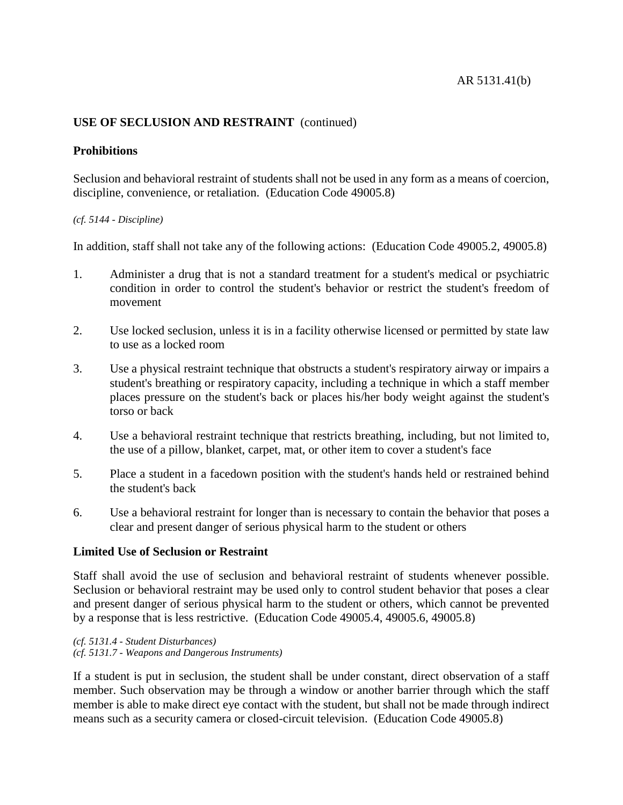# **USE OF SECLUSION AND RESTRAINT** (continued)

## **Prohibitions**

Seclusion and behavioral restraint of students shall not be used in any form as a means of coercion, discipline, convenience, or retaliation. (Education Code 49005.8)

### *(cf. 5144 - Discipline)*

In addition, staff shall not take any of the following actions: (Education Code 49005.2, 49005.8)

- 1. Administer a drug that is not a standard treatment for a student's medical or psychiatric condition in order to control the student's behavior or restrict the student's freedom of movement
- 2. Use locked seclusion, unless it is in a facility otherwise licensed or permitted by state law to use as a locked room
- 3. Use a physical restraint technique that obstructs a student's respiratory airway or impairs a student's breathing or respiratory capacity, including a technique in which a staff member places pressure on the student's back or places his/her body weight against the student's torso or back
- 4. Use a behavioral restraint technique that restricts breathing, including, but not limited to, the use of a pillow, blanket, carpet, mat, or other item to cover a student's face
- 5. Place a student in a facedown position with the student's hands held or restrained behind the student's back
- 6. Use a behavioral restraint for longer than is necessary to contain the behavior that poses a clear and present danger of serious physical harm to the student or others

### **Limited Use of Seclusion or Restraint**

Staff shall avoid the use of seclusion and behavioral restraint of students whenever possible. Seclusion or behavioral restraint may be used only to control student behavior that poses a clear and present danger of serious physical harm to the student or others, which cannot be prevented by a response that is less restrictive. (Education Code 49005.4, 49005.6, 49005.8)

*(cf. 5131.4 - Student Disturbances) (cf. 5131.7 - Weapons and Dangerous Instruments)*

If a student is put in seclusion, the student shall be under constant, direct observation of a staff member. Such observation may be through a window or another barrier through which the staff member is able to make direct eye contact with the student, but shall not be made through indirect means such as a security camera or closed-circuit television. (Education Code 49005.8)